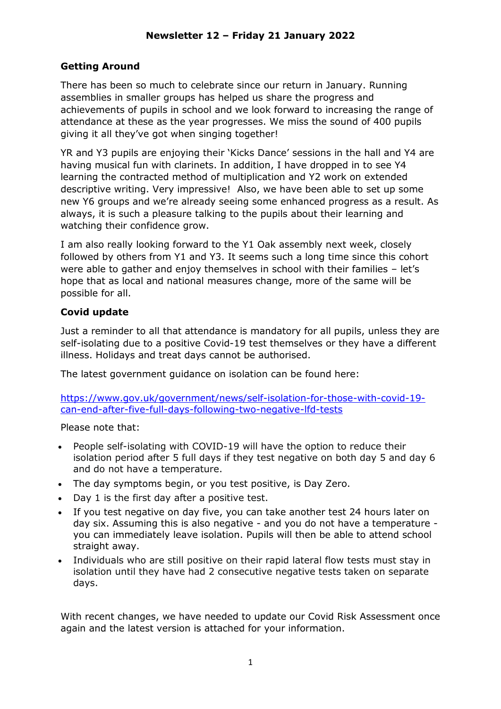## **Getting Around**

There has been so much to celebrate since our return in January. Running assemblies in smaller groups has helped us share the progress and achievements of pupils in school and we look forward to increasing the range of attendance at these as the year progresses. We miss the sound of 400 pupils giving it all they've got when singing together!

YR and Y3 pupils are enjoying their 'Kicks Dance' sessions in the hall and Y4 are having musical fun with clarinets. In addition, I have dropped in to see Y4 learning the contracted method of multiplication and Y2 work on extended descriptive writing. Very impressive! Also, we have been able to set up some new Y6 groups and we're already seeing some enhanced progress as a result. As always, it is such a pleasure talking to the pupils about their learning and watching their confidence grow.

I am also really looking forward to the Y1 Oak assembly next week, closely followed by others from Y1 and Y3. It seems such a long time since this cohort were able to gather and enjoy themselves in school with their families – let's hope that as local and national measures change, more of the same will be possible for all.

## **Covid update**

Just a reminder to all that attendance is mandatory for all pupils, unless they are self-isolating due to a positive Covid-19 test themselves or they have a different illness. Holidays and treat days cannot be authorised.

The latest government guidance on isolation can be found here:

[https://www.gov.uk/government/news/self-isolation-for-those-with-covid-19](https://www.gov.uk/government/news/self-isolation-for-those-with-covid-19-can-end-after-five-full-days-following-two-negative-lfd-tests) [can-end-after-five-full-days-following-two-negative-lfd-tests](https://www.gov.uk/government/news/self-isolation-for-those-with-covid-19-can-end-after-five-full-days-following-two-negative-lfd-tests)

Please note that:

- People self-isolating with COVID-19 will have the option to reduce their isolation period after 5 full days if they test negative on both day 5 and day 6 and do not have a temperature.
- The day symptoms begin, or you test positive, is Day Zero.
- Day 1 is the first day after a positive test.
- If you test negative on day five, you can take another test 24 hours later on day six. Assuming this is also negative - and you do not have a temperature you can immediately leave isolation. Pupils will then be able to attend school straight away.
- Individuals who are still positive on their rapid lateral flow tests must stay in isolation until they have had 2 consecutive negative tests taken on separate days.

With recent changes, we have needed to update our Covid Risk Assessment once again and the latest version is attached for your information.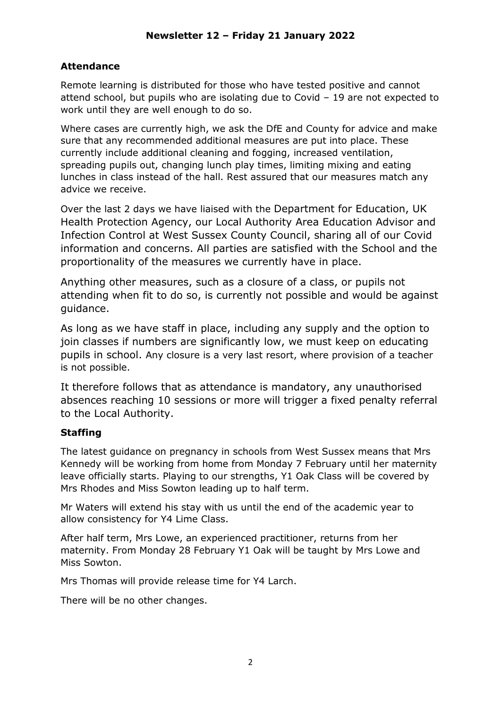# **Attendance**

Remote learning is distributed for those who have tested positive and cannot attend school, but pupils who are isolating due to Covid – 19 are not expected to work until they are well enough to do so.

Where cases are currently high, we ask the DfE and County for advice and make sure that any recommended additional measures are put into place. These currently include additional cleaning and fogging, increased ventilation, spreading pupils out, changing lunch play times, limiting mixing and eating lunches in class instead of the hall. Rest assured that our measures match any advice we receive.

Over the last 2 days we have liaised with the Department for Education, UK Health Protection Agency, our Local Authority Area Education Advisor and Infection Control at West Sussex County Council, sharing all of our Covid information and concerns. All parties are satisfied with the School and the proportionality of the measures we currently have in place.

Anything other measures, such as a closure of a class, or pupils not attending when fit to do so, is currently not possible and would be against guidance.

As long as we have staff in place, including any supply and the option to join classes if numbers are significantly low, we must keep on educating pupils in school. Any closure is a very last resort, where provision of a teacher is not possible.

It therefore follows that as attendance is mandatory, any unauthorised absences reaching 10 sessions or more will trigger a fixed penalty referral to the Local Authority.

## **Staffing**

The latest guidance on pregnancy in schools from West Sussex means that Mrs Kennedy will be working from home from Monday 7 February until her maternity leave officially starts. Playing to our strengths, Y1 Oak Class will be covered by Mrs Rhodes and Miss Sowton leading up to half term.

Mr Waters will extend his stay with us until the end of the academic year to allow consistency for Y4 Lime Class.

After half term, Mrs Lowe, an experienced practitioner, returns from her maternity. From Monday 28 February Y1 Oak will be taught by Mrs Lowe and Miss Sowton.

Mrs Thomas will provide release time for Y4 Larch.

There will be no other changes.